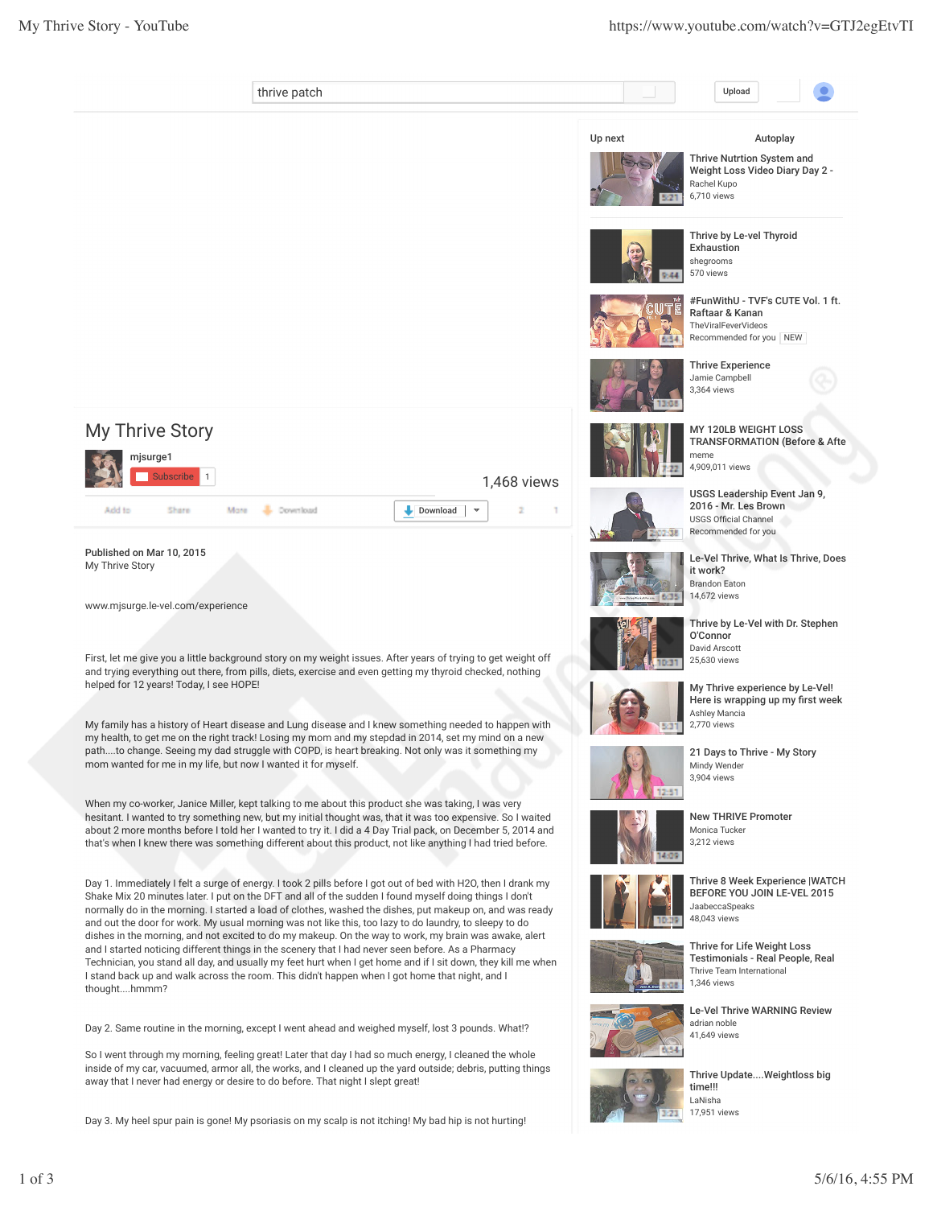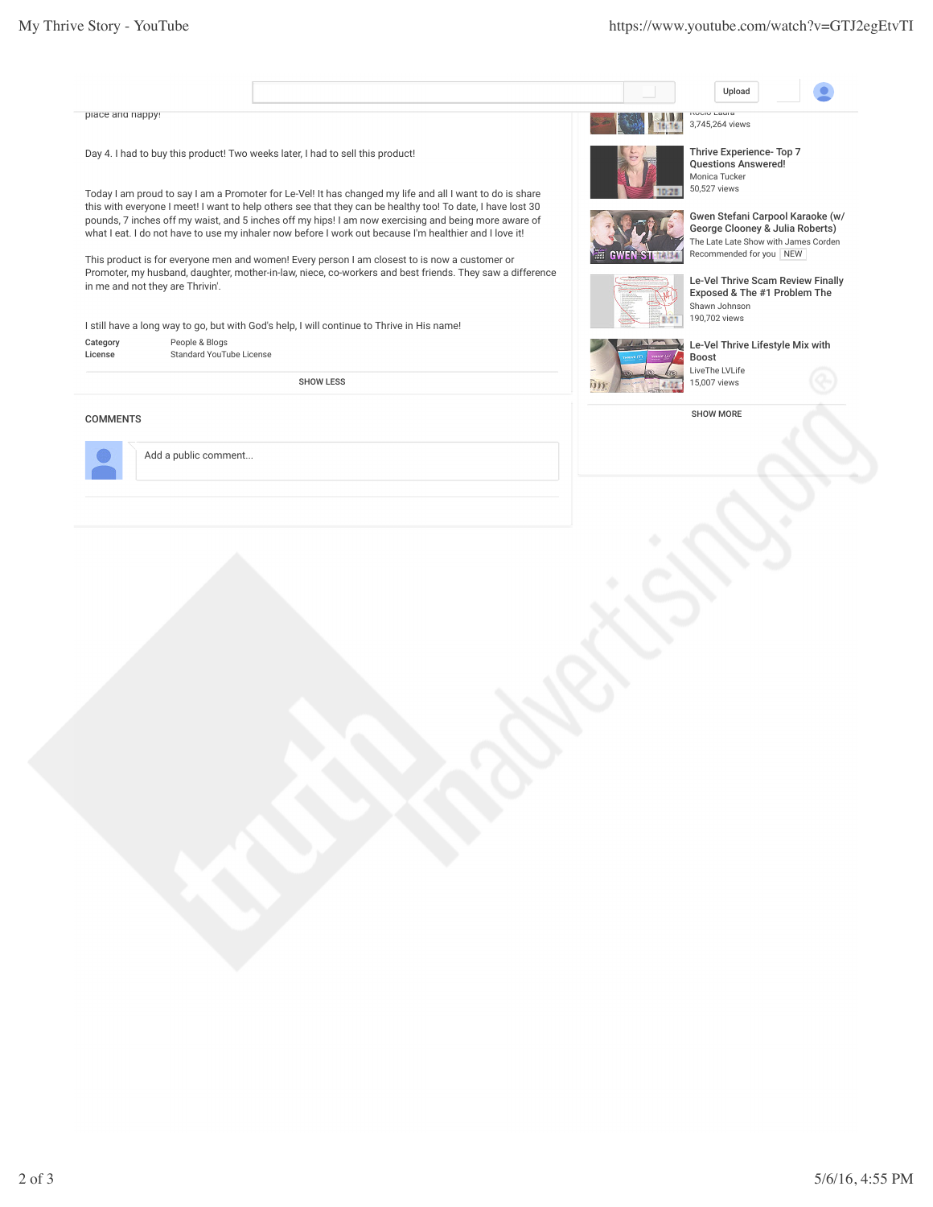